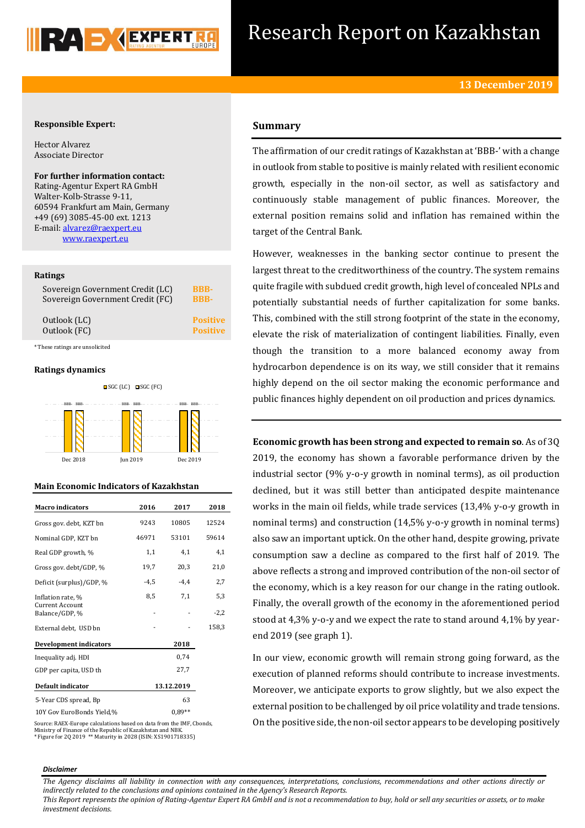

## **Responsible Expert:**

Hector Alvarez Associate Director

**For further information contact:** Rating-Agentur Expert RA GmbH Walter-Kolb-Strasse 9-11, 60594 Frankfurt am Main, Germany +49 (69) 3085-45-00 ext. 1213 E-mail[: alvarez@raexpert.eu](mailto:alvarez@raexpert.eu) [www.raexpert.eu](http://raexpert.eu/)

### **Ratings**

| Sovereign Government Credit (LC) | <b>BBB-</b>     |
|----------------------------------|-----------------|
| Sovereign Government Credit (FC) | <b>BBB-</b>     |
| Outlook (LC)                     | <b>Positive</b> |
| Outlook (FC)                     | <b>Positive</b> |

\* These ratings are unsolicited

### **Ratings dynamics**



## **Main Economic Indicators of Kazakhstan**

| <b>Macro</b> indicators                  | 2016   | 2017       | 2018   |
|------------------------------------------|--------|------------|--------|
| Gross gov. debt, KZT bn                  | 9243   | 10805      | 12524  |
| Nominal GDP, KZT bn                      | 46971  | 53101      | 59614  |
| Real GDP growth, %                       | 1,1    | 4,1        | 4,1    |
| Gross gov. debt/GDP, %                   | 19,7   | 20,3       | 21,0   |
| Deficit (surplus)/GDP, %                 | $-4,5$ | $-4.4$     | 2,7    |
| Inflation rate, %                        | 8,5    | 7,1        | 5,3    |
| <b>Current Account</b><br>Balance/GDP, % |        |            | $-2,2$ |
| External debt, USD bn                    |        |            | 158,3  |
| <b>Development indicators</b>            |        | 2018       |        |
| Inequality adj. HDI                      |        | 0.74       |        |
| GDP per capita, USD th                   |        | 27,7       |        |
| Default indicator                        |        | 13.12.2019 |        |
| 5-Year CDS spread, Bp                    |        | 63         |        |
| 10Y Gov EuroBonds Yield,%                |        | $0.89**$   |        |

Source: RAEX-Europe calculations based on data from the IMF, Cbonds, Ministry of Finance of the Republic of Kazakhstan and NBK. \* Figure for 2Q 2019 \*\* Maturity in 2028 (ISIN: XS1901718335)

# **Summary**

The affirmation of our credit ratings of Kazakhstan at 'BBB-' with a change in outlook from stable to positive is mainly related with resilient economic growth, especially in the non-oil sector, as well as satisfactory and continuously stable management of public finances. Moreover, the external position remains solid and inflation has remained within the target of the Central Bank.

However, weaknesses in the banking sector continue to present the largest threat to the creditworthiness of the country. The system remains quite fragile with subdued credit growth, high level of concealed NPLs and potentially substantial needs of further capitalization for some banks. This, combined with the still strong footprint of the state in the economy, elevate the risk of materialization of contingent liabilities. Finally, even though the transition to a more balanced economy away from hydrocarbon dependence is on its way, we still consider that it remains highly depend on the oil sector making the economic performance and public finances highly dependent on oil production and prices dynamics.

**Economic growth has been strong and expected to remain so**. As of 3Q 2019, the economy has shown a favorable performance driven by the industrial sector (9% y-o-y growth in nominal terms), as oil production declined, but it was still better than anticipated despite maintenance works in the main oil fields, while trade services (13,4% y-o-y growth in nominal terms) and construction (14,5% y-o-y growth in nominal terms) also saw an important uptick. On the other hand, despite growing, private consumption saw a decline as compared to the first half of 2019. The above reflects a strong and improved contribution of the non-oil sector of the economy, which is a key reason for our change in the rating outlook. Finally, the overall growth of the economy in the aforementioned period stood at 4,3% y-o-y and we expect the rate to stand around 4,1% by yearend 2019 (see graph 1).

In our view, economic growth will remain strong going forward, as the execution of planned reforms should contribute to increase investments. Moreover, we anticipate exports to grow slightly, but we also expect the external position to be challenged by oil price volatility and trade tensions. On the positive side, the non-oil sector appears to be developing positively

#### *Disclaimer*

*The Agency disclaims all liability in connection with any consequences, interpretations, conclusions, recommendations and other actions directly or indirectly related to the conclusions and opinions contained in the Agency's Research Reports.*

*This Report represents the opinion of Rating-Agentur Expert RA GmbH and is not a recommendation to buy, hold or sell any securities or assets, or to make investment decisions.*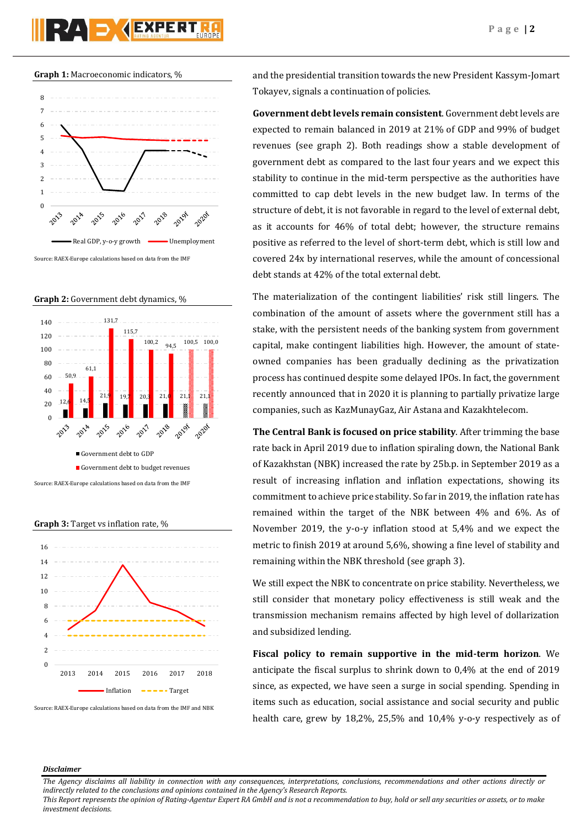





**Graph 3:** Target vs inflation rate, %



Source: RAEX-Europe calculations based on data from the IMF and NBK

and the presidential transition towards the new President Kassym-Jomart Tokayev, signals a continuation of policies.

**Government debt levels remain consistent**. Government debt levels are expected to remain balanced in 2019 at 21% of GDP and 99% of budget revenues (see graph 2). Both readings show a stable development of government debt as compared to the last four years and we expect this stability to continue in the mid-term perspective as the authorities have committed to cap debt levels in the new budget law. In terms of the structure of debt, it is not favorable in regard to the level of external debt, as it accounts for 46% of total debt; however, the structure remains positive as referred to the level of short-term debt, which is still low and covered 24x by international reserves, while the amount of concessional debt stands at 42% of the total external debt.

The materialization of the contingent liabilities' risk still lingers. The combination of the amount of assets where the government still has a stake, with the persistent needs of the banking system from government capital, make contingent liabilities high. However, the amount of stateowned companies has been gradually declining as the privatization process has continued despite some delayed IPOs. In fact, the government recently announced that in 2020 it is planning to partially privatize large companies, such as KazMunayGaz, Air Astana and Kazakhtelecom.

**The Central Bank is focused on price stability**. After trimming the base rate back in April 2019 due to inflation spiraling down, the National Bank of Kazakhstan (NBK) increased the rate by 25b.p. in September 2019 as a result of increasing inflation and inflation expectations, showing its commitment to achieve price stability. So far in 2019, the inflation rate has remained within the target of the NBK between 4% and 6%. As of November 2019, the y-o-y inflation stood at 5,4% and we expect the metric to finish 2019 at around 5,6%, showing a fine level of stability and remaining within the NBK threshold (see graph 3).

We still expect the NBK to concentrate on price stability. Nevertheless, we still consider that monetary policy effectiveness is still weak and the transmission mechanism remains affected by high level of dollarization and subsidized lending.

**Fiscal policy to remain supportive in the mid-term horizon**. We anticipate the fiscal surplus to shrink down to 0,4% at the end of 2019 since, as expected, we have seen a surge in social spending. Spending in items such as education, social assistance and social security and public health care, grew by 18,2%, 25,5% and 10,4% y-o-y respectively as of

### *Disclaimer*

*The Agency disclaims all liability in connection with any consequences, interpretations, conclusions, recommendations and other actions directly or indirectly related to the conclusions and opinions contained in the Agency's Research Reports.*

*This Report represents the opinion of Rating-Agentur Expert RA GmbH and is not a recommendation to buy, hold or sell any securities or assets, or to make investment decisions.*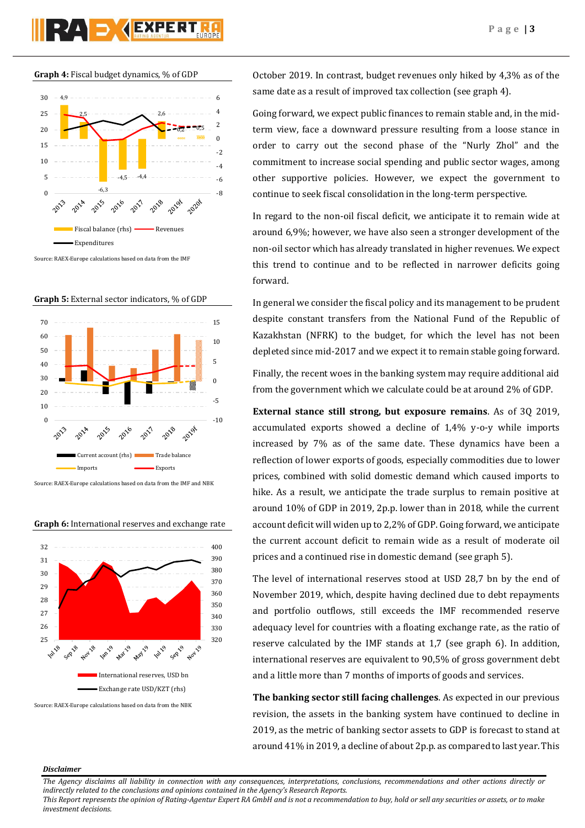

**Graph 4:** Fiscal budget dynamics, % of GDP



Source: RAEX-Europe calculations based on data from the IMF





Source: RAEX-Europe calculations based on data from the IMF and NBK

**Graph 6:** International reserves and exchange rate



Source: RAEX-Europe calculations based on data from the NBK

October 2019. In contrast, budget revenues only hiked by 4,3% as of the same date as a result of improved tax collection (see graph 4).

Going forward, we expect public finances to remain stable and, in the midterm view, face a downward pressure resulting from a loose stance in order to carry out the second phase of the "Nurly Zhol" and the commitment to increase social spending and public sector wages, among other supportive policies. However, we expect the government to continue to seek fiscal consolidation in the long-term perspective.

In regard to the non-oil fiscal deficit, we anticipate it to remain wide at around 6,9%; however, we have also seen a stronger development of the non-oil sector which has already translated in higher revenues. We expect this trend to continue and to be reflected in narrower deficits going forward.

In general we consider the fiscal policy and its management to be prudent despite constant transfers from the National Fund of the Republic of Kazakhstan (NFRK) to the budget, for which the level has not been depleted since mid-2017 and we expect it to remain stable going forward.

Finally, the recent woes in the banking system may require additional aid from the government which we calculate could be at around 2% of GDP.

**External stance still strong, but exposure remains**. As of 3Q 2019, accumulated exports showed a decline of 1,4% y-o-y while imports increased by 7% as of the same date. These dynamics have been a reflection of lower exports of goods, especially commodities due to lower prices, combined with solid domestic demand which caused imports to hike. As a result, we anticipate the trade surplus to remain positive at around 10% of GDP in 2019, 2p.p. lower than in 2018, while the current account deficit will widen up to 2,2% of GDP. Going forward, we anticipate the current account deficit to remain wide as a result of moderate oil prices and a continued rise in domestic demand (see graph 5).

The level of international reserves stood at USD 28,7 bn by the end of November 2019, which, despite having declined due to debt repayments and portfolio outflows, still exceeds the IMF recommended reserve adequacy level for countries with a floating exchange rate, as the ratio of reserve calculated by the IMF stands at 1,7 (see graph 6). In addition, international reserves are equivalent to 90,5% of gross government debt and a little more than 7 months of imports of goods and services.

**The banking sector still facing challenges**. As expected in our previous revision, the assets in the banking system have continued to decline in 2019, as the metric of banking sector assets to GDP is forecast to stand at around 41% in 2019, a decline of about 2p.p. as compared to last year. This

### *Disclaimer*

*The Agency disclaims all liability in connection with any consequences, interpretations, conclusions, recommendations and other actions directly or indirectly related to the conclusions and opinions contained in the Agency's Research Reports.*

*This Report represents the opinion of Rating-Agentur Expert RA GmbH and is not a recommendation to buy, hold or sell any securities or assets, or to make investment decisions.*